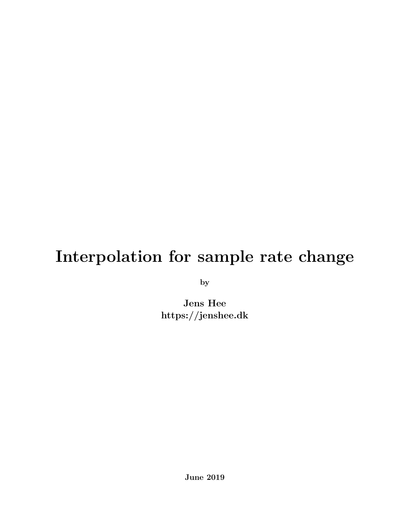# Interpolation for sample rate change

by

Jens Hee https://jenshee.dk

June 2019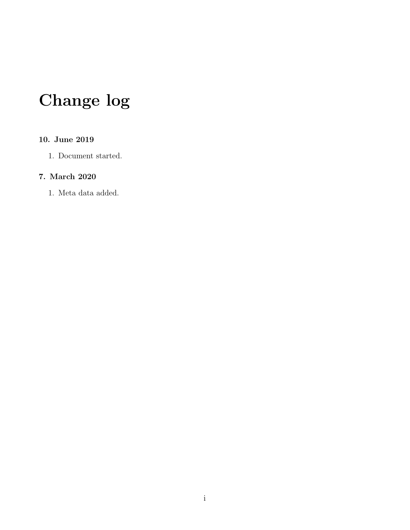# Change log

#### 10. June 2019

1. Document started.

#### 7. March 2020

1. Meta data added.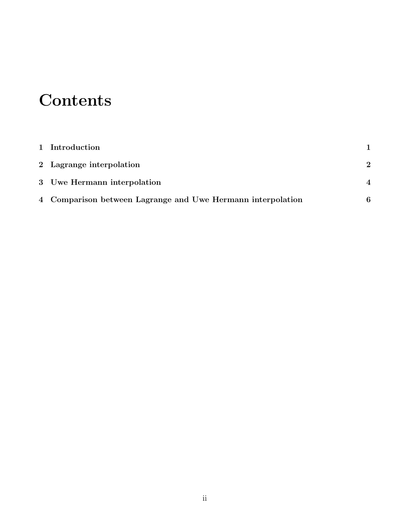# **Contents**

| 1 Introduction                                              |                        |
|-------------------------------------------------------------|------------------------|
| 2 Lagrange interpolation                                    | $\boldsymbol{2}$       |
| 3 Uwe Hermann interpolation                                 | $\boldsymbol{\Lambda}$ |
| 4 Comparison between Lagrange and Uwe Hermann interpolation | 6                      |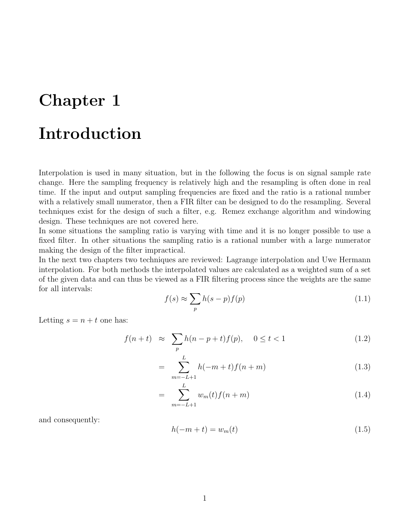#### <span id="page-3-0"></span>Introduction

Interpolation is used in many situation, but in the following the focus is on signal sample rate change. Here the sampling frequency is relatively high and the resampling is often done in real time. If the input and output sampling frequencies are fixed and the ratio is a rational number with a relatively small numerator, then a FIR filter can be designed to do the resampling. Several techniques exist for the design of such a filter, e.g. Remez exchange algorithm and windowing design. These techniques are not covered here.

In some situations the sampling ratio is varying with time and it is no longer possible to use a fixed filter. In other situations the sampling ratio is a rational number with a large numerator making the design of the filter impractical.

In the next two chapters two techniques are reviewed: Lagrange interpolation and Uwe Hermann interpolation. For both methods the interpolated values are calculated as a weighted sum of a set of the given data and can thus be viewed as a FIR filtering process since the weights are the same for all intervals:

$$
f(s) \approx \sum_{p} h(s-p)f(p) \tag{1.1}
$$

Letting  $s = n + t$  one has:

$$
f(n+t) \approx \sum_{p} h(n-p+t) f(p), \quad 0 \le t < 1
$$
 (1.2)

$$
= \sum_{m=-L+1}^{L} h(-m+t)f(n+m)
$$
\n(1.3)

$$
= \sum_{m=-L+1}^{L} w_m(t) f(n+m) \tag{1.4}
$$

and consequently:

$$
h(-m+t) = w_m(t) \tag{1.5}
$$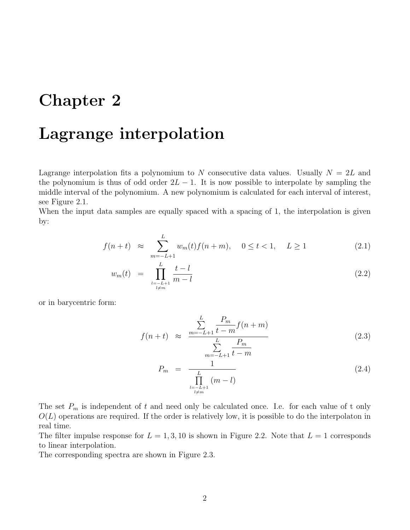#### <span id="page-4-0"></span>Lagrange interpolation

Lagrange interpolation fits a polynomium to N consecutive data values. Usually  $N = 2L$  and the polynomium is thus of odd order  $2L - 1$ . It is now possible to interpolate by sampling the middle interval of the polynomium. A new polynomium is calculated for each interval of interest, see Figure [2.1.](#page-5-0)

When the input data samples are equally spaced with a spacing of 1, the interpolation is given by:

$$
f(n+t) \approx \sum_{m=-L+1}^{L} w_m(t) f(n+m), \quad 0 \le t < 1, \quad L \ge 1
$$
 (2.1)

$$
w_m(t) = \prod_{\substack{l=-L+1 \\ l \neq m}}^{L} \frac{t-l}{m-l}
$$
\n(2.2)

or in barycentric form:

$$
f(n+t) \approx \frac{\sum_{m=-L+1}^{L} \frac{P_m}{t-m} f(n+m)}{\sum_{m=-L+1}^{L} \frac{P_m}{t-m}}
$$
(2.3)

$$
P_m = \frac{1}{\prod_{\substack{l=-L+1 \\ l \neq m}}^{L} (m-l)}
$$
(2.4)

The set  $P_m$  is independent of t and need only be calculated once. I.e. for each value of t only  $O(L)$  operations are required. If the order is relatively low, it is possible to do the interpolaton in real time.

The filter impulse response for  $L = 1, 3, 10$  is shown in Figure [2.2.](#page-5-1) Note that  $L = 1$  corresponds to linear interpolation.

The corresponding spectra are shown in Figure [2.3.](#page-5-2)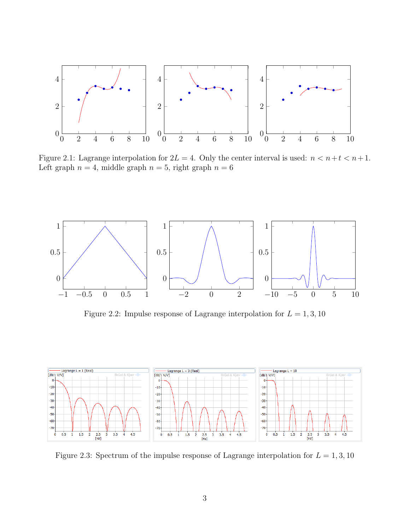

<span id="page-5-0"></span>Figure 2.1: Lagrange interpolation for  $2L = 4$ . Only the center interval is used:  $n < n+t < n+1$ . Left graph  $n = 4$ , middle graph  $n = 5$ , right graph  $n = 6$ 



<span id="page-5-1"></span>Figure 2.2: Impulse response of Lagrange interpolation for  $L = 1, 3, 10$ 



<span id="page-5-2"></span>Figure 2.3: Spectrum of the impulse response of Lagrange interpolation for  $L = 1, 3, 10$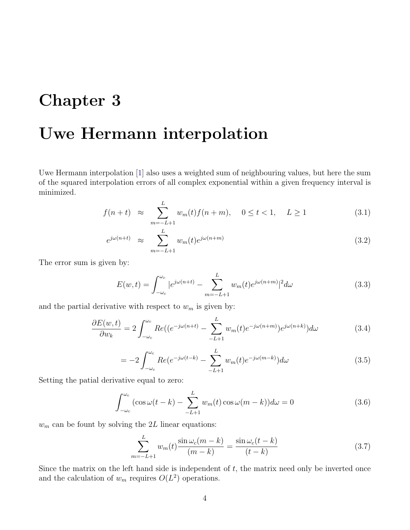### <span id="page-6-0"></span>Uwe Hermann interpolation

Uwe Hermann interpolation [\[1\]](#page-9-0) also uses a weighted sum of neighbouring values, but here the sum of the squared interpolation errors of all complex exponential within a given frequency interval is minimized.

$$
f(n+t) \approx \sum_{m=-L+1}^{L} w_m(t) f(n+m), \quad 0 \le t < 1, \quad L \ge 1
$$
 (3.1)

$$
e^{j\omega(n+t)} \approx \sum_{m=-L+1}^{L} w_m(t)e^{j\omega(n+m)} \tag{3.2}
$$

The error sum is given by:

$$
E(w,t) = \int_{-\omega_c}^{\omega_c} |e^{j\omega(n+t)} - \sum_{m=-L+1}^{L} w_m(t)e^{j\omega(n+m)}|^2 d\omega
$$
 (3.3)

and the partial derivative with respect to  $w_m$  is given by:

$$
\frac{\partial E(w,t)}{\partial w_k} = 2 \int_{-\omega_c}^{\omega_c} Re((e^{-j\omega(n+t)} - \sum_{-L+1}^{L} w_m(t)e^{-j\omega(n+m)})e^{j\omega(n+k)})d\omega \tag{3.4}
$$

$$
= -2 \int_{-\omega_c}^{\omega_c} Re(e^{-j\omega(t-k)} - \sum_{-L+1}^{L} w_m(t)e^{-j\omega(m-k)})d\omega \tag{3.5}
$$

Setting the patial derivative equal to zero:

$$
\int_{-\omega_c}^{\omega_c} (\cos \omega (t - k) - \sum_{-L+1}^{L} w_m(t) \cos \omega (m - k)) d\omega = 0
$$
\n(3.6)

 $w_m$  can be fount by solving the 2L linear equations:

$$
\sum_{m=-L+1}^{L} w_m(t) \frac{\sin \omega_c(m-k)}{(m-k)} = \frac{\sin \omega_c(t-k)}{(t-k)}
$$
(3.7)

Since the matrix on the left hand side is independent of  $t$ , the matrix need only be inverted once and the calculation of  $w_m$  requires  $O(L^2)$  operations.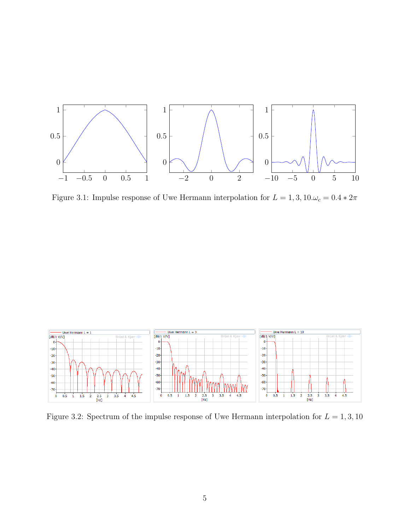

Figure 3.1: Impulse response of Uwe Hermann interpolation for  $L=1,3,10.\omega_c=0.4*2\pi$ 



Figure 3.2: Spectrum of the impulse response of Uwe Hermann interpolation for  $L = 1, 3, 10$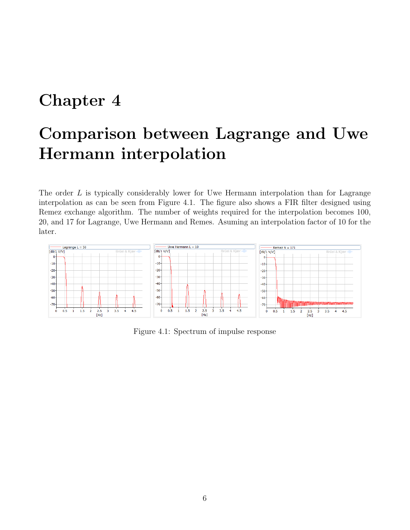## <span id="page-8-0"></span>Comparison between Lagrange and Uwe Hermann interpolation

The order  $L$  is typically considerably lower for Uwe Hermann interpolation than for Lagrange interpolation as can be seen from Figure [4.1.](#page-8-1) The figure also shows a FIR filter designed using Remez exchange algorithm. The number of weights required for the interpolation becomes 100, 20, and 17 for Lagrange, Uwe Hermann and Remes. Asuming an interpolation factor of 10 for the later.



<span id="page-8-1"></span>Figure 4.1: Spectrum of impulse response